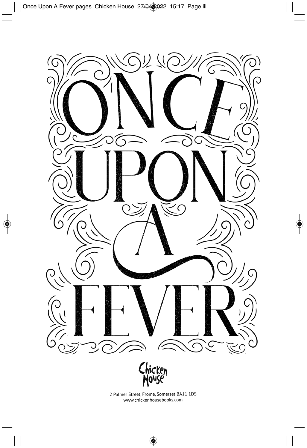



2 Palmer Street, Frome, Somerset BA11 1DS www.chickenhousebooks.com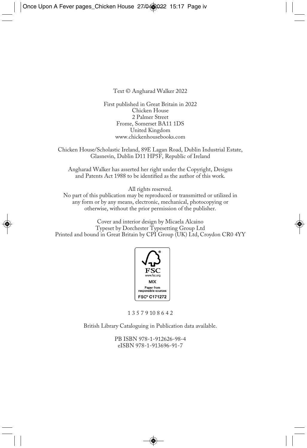Text © Angharad Walker 2022

First published in Great Britain in 2022 Chicken House 2 Palmer Street Frome, Somerset BA11 1DS United Kingdom www.chickenhousebooks.com

Chicken House/Scholastic Ireland, 89E Lagan Road, Dublin Industrial Estate, Glasnevin, Dublin D11 HP5F, Republic of Ireland

Angharad Walker has asserted her right under the Copyright, Designs and Patents Act 1988 to be identified as the author of this work.

All rights reserved.

No part of this publication may be reproduced or transmitted or utilized in any form or by any means, electronic, mechanical, photocopying or otherwise, without the prior permission of the publisher.

Cover and interior design by Micaela Alcaino Typeset by Dorchester Typesetting Group Ltd Printed and bound in Great Britain by CPI Group (UK) Ltd, Croydon CR0 4YY



1 3 5 7 9 10 8 6 4 2

British Library Cataloguing in Publication data available.

PB ISBN 978-1-912626-98-4 eISBN 978-1-913696-91-7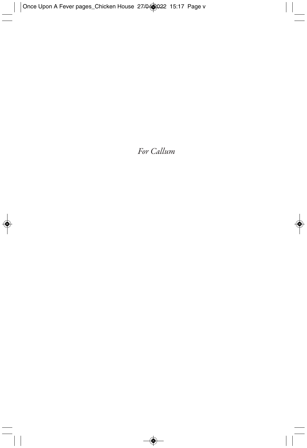## *For Callum*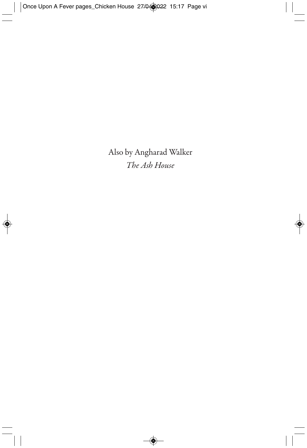Also by Angharad Walker *The Ash House*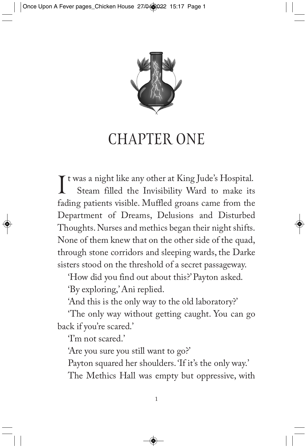

## CHAPTER ONE

It was a night like any other at King Jude's Hospital.<br>Steam filled the Invisibility Ward to make its Steam filled the Invisibility Ward to make its fading patients visible. Muffled groans came from the Department of Dreams, Delusions and Disturbed Thoughts. Nurses and methics began their night shifts. None of them knew that on the other side of the quad, through stone corridors and sleeping wards, the Darke sisters stood on the threshold of a secret passageway.

'How did you find out about this?' Payton asked.

'By exploring,' Ani replied.

'And this is the only way to the old laboratory?'

'The only way without getting caught. You can go back if you're scared.'

'I'm not scared.'

'Are you sure you still want to go?'

Payton squared her shoulders. 'If it's the only way.'

The Methics Hall was empty but oppressive, with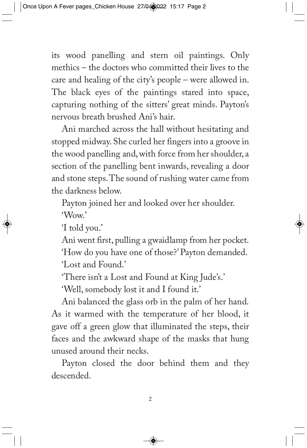its wood panelling and stern oil paintings. Only methics – the doctors who committed their lives to the care and healing of the city's people – were allowed in. The black eyes of the paintings stared into space, capturing nothing of the sitters' great minds. Payton's nervous breath brushed Ani's hair.

Ani marched across the hall without hesitating and stopped midway. She curled her fingers into a groove in the wood panelling and, with force from her shoulder, a section of the panelling bent inwards, revealing a door and stone steps. The sound of rushing water came from the darkness below.

Payton joined her and looked over her shoulder. 'Wow.'

'I told you.'

Ani went first, pulling a gwaidlamp from her pocket. 'How do you have one of those?' Payton demanded. 'Lost and Found.'

'There isn't a Lost and Found at King Jude's.'

'Well, somebody lost it and I found it.'

Ani balanced the glass orb in the palm of her hand. As it warmed with the temperature of her blood, it gave off a green glow that illuminated the steps, their faces and the awkward shape of the masks that hung unused around their necks.

Payton closed the door behind them and they descended.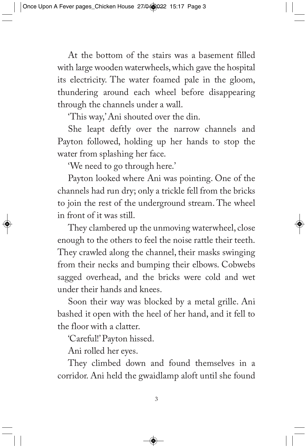At the bottom of the stairs was a basement filled with large wooden waterwheels, which gave the hospital its electricity. The water foamed pale in the gloom, thundering around each wheel before disappearing through the channels under a wall.

'This way,' Ani shouted over the din.

She leapt deftly over the narrow channels and Payton followed, holding up her hands to stop the water from splashing her face.

'We need to go through here.'

Payton looked where Ani was pointing. One of the channels had run dry; only a trickle fell from the bricks to join the rest of the underground stream. The wheel in front of it was still.

They clambered up the unmoving waterwheel, close enough to the others to feel the noise rattle their teeth. They crawled along the channel, their masks swinging from their necks and bumping their elbows. Cobwebs sagged overhead, and the bricks were cold and wet under their hands and knees.

Soon their way was blocked by a metal grille. Ani bashed it open with the heel of her hand, and it fell to the floor with a clatter.

'Careful!' Payton hissed.

Ani rolled her eyes.

They climbed down and found themselves in a corridor. Ani held the gwaidlamp aloft until she found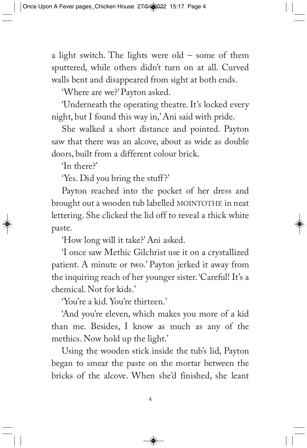a light switch. The lights were  $old -$  some of them sputtered, while others didn't turn on at all. Curved walls bent and disappeared from sight at both ends.

'Where are we?' Payton asked.

'Underneath the operating theatre. It's locked every night, but I found this way in,' Ani said with pride.

She walked a short distance and pointed. Payton saw that there was an alcove, about as wide as double doors, built from a different colour brick.

'In there?'

'Yes. Did you bring the stuff?'

Payton reached into the pocket of her dress and brought out a wooden tub labelled MOINTOTHE in neat lettering. She clicked the lid off to reveal a thick white paste.

'How long will it take?' Ani asked.

'I once saw Methic Gilchrist use it on a crystallized patient. A minute or two.' Payton jerked it away from the inquiring reach of her younger sister. 'Careful! It's a chemical. Not for kids.'

'You're a kid. You're thirteen.'

'And you're eleven, which makes you more of a kid than me. Besides, I know as much as any of the methics. Now hold up the light.'

Using the wooden stick inside the tub's lid, Payton began to smear the paste on the mortar between the bricks of the alcove. When she'd finished, she leant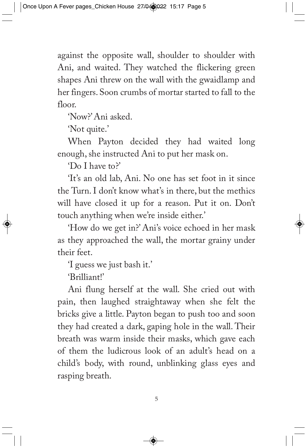against the opposite wall, shoulder to shoulder with Ani, and waited. They watched the flickering green shapes Ani threw on the wall with the gwaidlamp and her fingers. Soon crumbs of mortar started to fall to the floor.

'Now?' Ani asked.

'Not quite.'

When Payton decided they had waited long enough, she instructed Ani to put her mask on.

'Do I have to?'

'It's an old lab, Ani. No one has set foot in it since the Turn. I don't know what's in there, but the methics will have closed it up for a reason. Put it on. Don't touch anything when we're inside either.'

'How do we get in?' Ani's voice echoed in her mask as they approached the wall, the mortar grainy under their feet.

'I guess we just bash it.'

'Brilliant!'

Ani flung herself at the wall. She cried out with pain, then laughed straightaway when she felt the bricks give a little. Payton began to push too and soon they had created a dark, gaping hole in the wall. Their breath was warm inside their masks, which gave each of them the ludicrous look of an adult's head on a child's body, with round, unblinking glass eyes and rasping breath.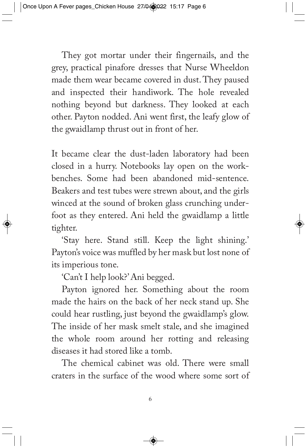They got mortar under their fingernails, and the grey, practical pinafore dresses that Nurse Wheeldon made them wear became covered in dust. They paused and inspected their handiwork. The hole revealed nothing beyond but darkness. They looked at each other. Payton nodded. Ani went first, the leafy glow of the gwaidlamp thrust out in front of her.

It became clear the dust-laden laboratory had been closed in a hurry. Notebooks lay open on the workbenches. Some had been abandoned mid-sentence. Beakers and test tubes were strewn about, and the girls winced at the sound of broken glass crunching underfoot as they entered. Ani held the gwaidlamp a little tighter.

'Stay here. Stand still. Keep the light shining.' Payton's voice was muffled by her mask but lost none of its imperious tone.

'Can't I help look?' Ani begged.

Payton ignored her. Something about the room made the hairs on the back of her neck stand up. She could hear rustling, just beyond the gwaidlamp's glow. The inside of her mask smelt stale, and she imagined the whole room around her rotting and releasing diseases it had stored like a tomb.

The chemical cabinet was old. There were small craters in the surface of the wood where some sort of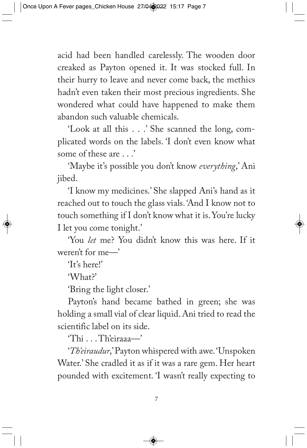acid had been handled carelessly. The wooden door creaked as Payton opened it. It was stocked full. In their hurry to leave and never come back, the methics hadn't even taken their most precious ingredients. She wondered what could have happened to make them abandon such valuable chemicals.

'Look at all this . . .' She scanned the long, complicated words on the labels. 'I don't even know what some of these are  $\cdot$ 

'Maybe it's possible you don't know *everything*,' Ani jibed.

'I know my medicines.' She slapped Ani's hand as it reached out to touch the glass vials. 'And I know not to touch something if I don't know what it is. You're lucky I let you come tonight.'

'You *let* me? You didn't know this was here. If it weren't for me—'

'It's here!'

'What?'

'Bring the light closer.'

Payton's hand became bathed in green; she was holding a small vial of clear liquid. Ani tried to read the scientific label on its side.

'Thi . . . Th'eiraaa—'

'*Th'eiraudur*,' Payton whispered with awe. 'Unspoken Water.' She cradled it as if it was a rare gem. Her heart pounded with excitement. 'I wasn't really expecting to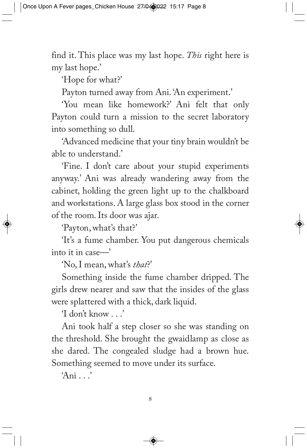find it. This place was my last hope. *This* right here is my last hope.'

'Hope for what?'

Payton turned away from Ani. 'An experiment.'

'You mean like homework?' Ani felt that only Payton could turn a mission to the secret laboratory into something so dull.

'Advanced medicine that your tiny brain wouldn't be able to understand.'

'Fine. I don't care about your stupid experiments anyway.' Ani was already wandering away from the cabinet, holding the green light up to the chalkboard and workstations. A large glass box stood in the corner of the room. Its door was ajar.

'Payton, what's that?'

'It's a fume chamber. You put dangerous chemicals into it in case—'

'No, I mean, what's *that*?'

Something inside the fume chamber dripped. The girls drew nearer and saw that the insides of the glass were splattered with a thick, dark liquid.

'I don't know . . .'

Ani took half a step closer so she was standing on the threshold. She brought the gwaidlamp as close as she dared. The congealed sludge had a brown hue. Something seemed to move under its surface.

'Ani . . .'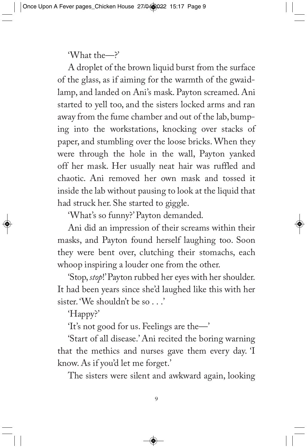'What the—?'

A droplet of the brown liquid burst from the surface of the glass, as if aiming for the warmth of the gwaidlamp, and landed on Ani's mask. Payton screamed. Ani started to yell too, and the sisters locked arms and ran away from the fume chamber and out of the lab, bumping into the workstations, knocking over stacks of paper, and stumbling over the loose bricks. When they were through the hole in the wall, Payton yanked off her mask. Her usually neat hair was ruffled and chaotic. Ani removed her own mask and tossed it inside the lab without pausing to look at the liquid that had struck her. She started to giggle.

'What's so funny?' Payton demanded.

Ani did an impression of their screams within their masks, and Payton found herself laughing too. Soon they were bent over, clutching their stomachs, each whoop inspiring a louder one from the other.

'Stop, *stop*!' Payton rubbed her eyes with her shoulder. It had been years since she'd laughed like this with her sister. 'We shouldn't be so . . .'

'Happy?'

'It's not good for us. Feelings are the—'

'Start of all disease.' Ani recited the boring warning that the methics and nurses gave them every day. 'I know. As if you'd let me forget.'

The sisters were silent and awkward again, looking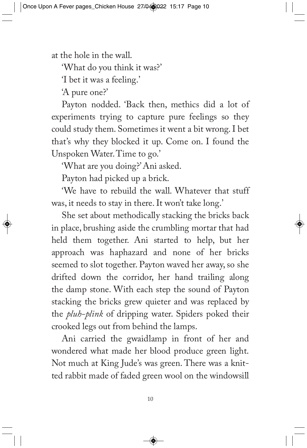at the hole in the wall.

'What do you think it was?'

'I bet it was a feeling.'

'A pure one?'

Payton nodded. 'Back then, methics did a lot of experiments trying to capture pure feelings so they could study them. Sometimes it went a bit wrong. I bet that's why they blocked it up. Come on. I found the Unspoken Water. Time to go.'

'What are you doing?' Ani asked.

Payton had picked up a brick.

'We have to rebuild the wall. Whatever that stuff was, it needs to stay in there. It won't take long.'

She set about methodically stacking the bricks back in place, brushing aside the crumbling mortar that had held them together. Ani started to help, but her approach was haphazard and none of her bricks seemed to slot together. Payton waved her away, so she drifted down the corridor, her hand trailing along the damp stone. With each step the sound of Payton stacking the bricks grew quieter and was replaced by the *pluh-plink* of dripping water. Spiders poked their crooked legs out from behind the lamps.

Ani carried the gwaidlamp in front of her and wondered what made her blood produce green light. Not much at King Jude's was green. There was a knitted rabbit made of faded green wool on the windowsill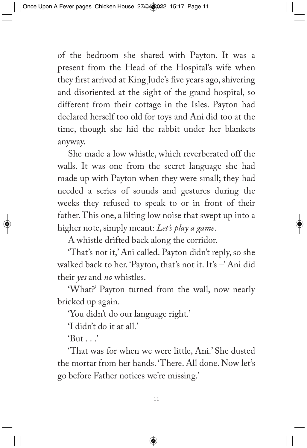of the bedroom she shared with Payton. It was a present from the Head of the Hospital's wife when they first arrived at King Jude's five years ago, shivering and disoriented at the sight of the grand hospital, so different from their cottage in the Isles. Payton had declared herself too old for toys and Ani did too at the time, though she hid the rabbit under her blankets anyway.

She made a low whistle, which reverberated off the walls. It was one from the secret language she had made up with Payton when they were small; they had needed a series of sounds and gestures during the weeks they refused to speak to or in front of their father. This one, a lilting low noise that swept up into a higher note, simply meant: *Let's play a game*.

A whistle drifted back along the corridor.

'That's not it,' Ani called. Payton didn't reply, so she walked back to her. 'Payton, that's not it. It's –' Ani did their *yes* and *no* whistles.

'What?' Payton turned from the wall, now nearly bricked up again.

'You didn't do our language right.'

'I didn't do it at all.'

 $'But...'$ 

'That was for when we were little, Ani.' She dusted the mortar from her hands. 'There. All done. Now let's go before Father notices we're missing.'